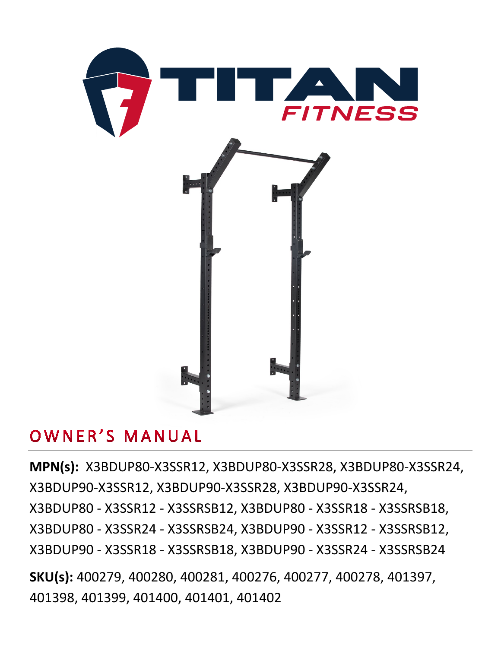

# OWNER'S MANUAL

**MPN(s):** X3BDUP80-X3SSR12, X3BDUP80-X3SSR28, X3BDUP80-X3SSR24, X3BDUP90-X3SSR12, X3BDUP90-X3SSR28, X3BDUP90-X3SSR24, X3BDUP80 - X3SSR12 - X3SSRSB12, X3BDUP80 - X3SSR18 - X3SSRSB18, X3BDUP80 - X3SSR24 - X3SSRSB24, X3BDUP90 - X3SSR12 - X3SSRSB12, X3BDUP90 - X3SSR18 - X3SSRSB18, X3BDUP90 - X3SSR24 - X3SSRSB24

**SKU(s):** 400279, 400280, 400281, 400276, 400277, 400278, 401397, 401398, 401399, 401400, 401401, 401402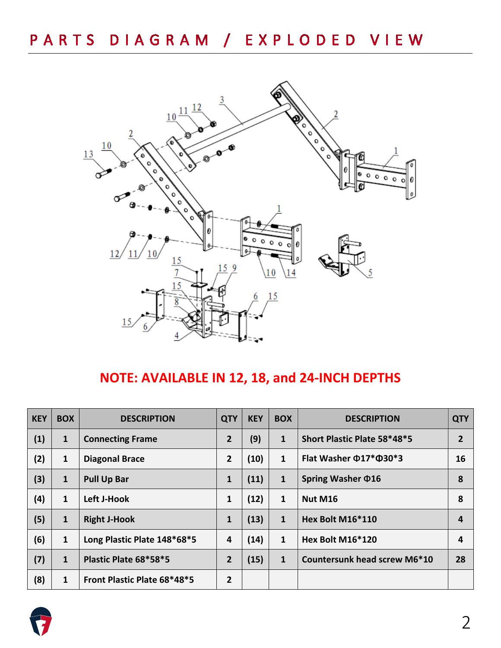

## **NOTE: AVAILABLE IN 12, 18, and 24-INCH DEPTHS**

| <b>KEY</b> | <b>BOX</b>   | <b>DESCRIPTION</b>          | <b>QTY</b>     | <b>KEY</b> | <b>BOX</b>   | <b>DESCRIPTION</b>                 | <b>QTY</b> |
|------------|--------------|-----------------------------|----------------|------------|--------------|------------------------------------|------------|
| (1)        | $\mathbf{1}$ | <b>Connecting Frame</b>     | $\overline{2}$ | (9)        | $\mathbf{1}$ | Short Plastic Plate 58*48*5        |            |
| (2)        | 1            | <b>Diagonal Brace</b>       | $\overline{2}$ | (10)       | $\mathbf{1}$ | Flat Washer $\Phi$ 17* $\Phi$ 30*3 | 16         |
| (3)        | $\mathbf{1}$ | <b>Pull Up Bar</b>          | 1              | (11)       | $\mathbf{1}$ | Spring Washer $\Phi$ 16            | 8          |
| (4)        | $\mathbf{1}$ | <b>Left J-Hook</b>          | 1              | (12)       | $\mathbf{1}$ | Nut M16                            | 8          |
| (5)        | $\mathbf{1}$ | <b>Right J-Hook</b>         | 1              | (13)       | 1            | Hex Bolt M16*110                   | 4          |
| (6)        | $\mathbf{1}$ | Long Plastic Plate 148*68*5 | 4              | (14)       | 1            | Hex Bolt M16*120                   | 4          |
| (7)        | 1            | Plastic Plate 68*58*5       | $\overline{2}$ | (15)       | $\mathbf{1}$ | Countersunk head screw M6*10       | 28         |
| (8)        | 1            | Front Plastic Plate 68*48*5 | $\overline{2}$ |            |              |                                    |            |

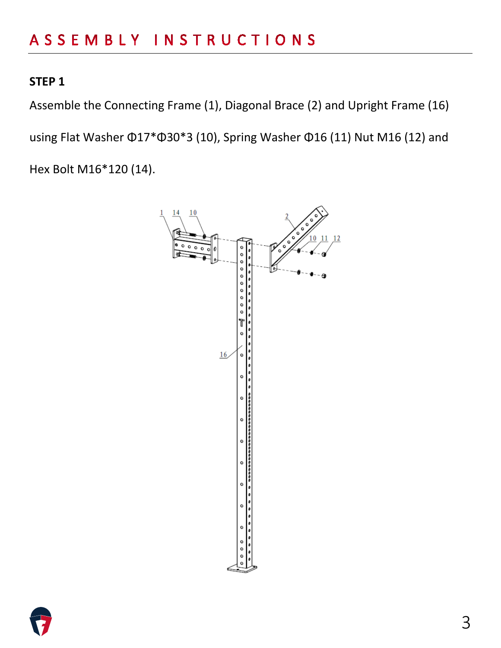Assemble the Connecting Frame (1), Diagonal Brace (2) and Upright Frame (16) using Flat Washer Φ17\*Φ30\*3 (10), Spring Washer Φ16 (11) Nut M16 (12) and Hex Bolt M16\*120 (14).



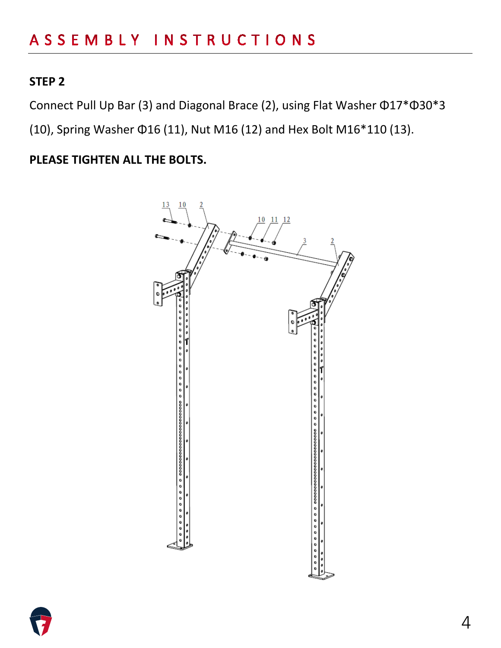Connect Pull Up Bar (3) and Diagonal Brace (2), using Flat Washer Φ17\*Φ30\*3

(10), Spring Washer Φ16 (11), Nut M16 (12) and Hex Bolt M16\*110 (13).

**PLEASE TIGHTEN ALL THE BOLTS.**



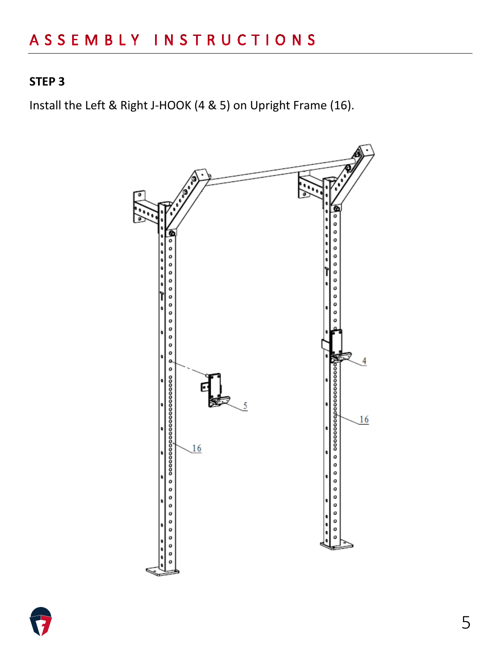Install the Left & Right J-HOOK (4 & 5) on Upright Frame (16).



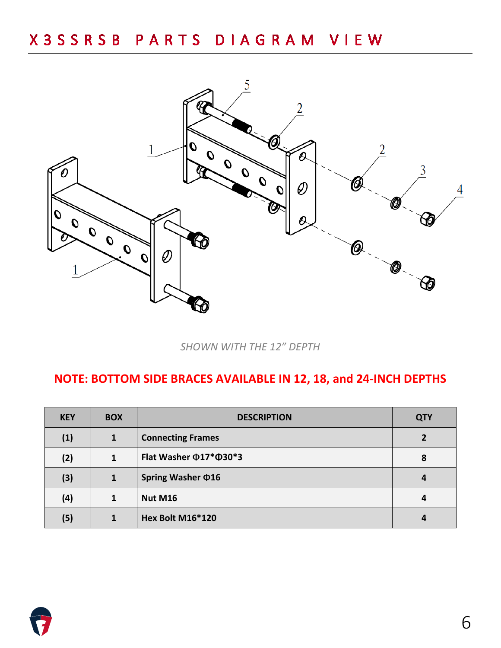# X 3 S S R S B P A R T S D I A G R A M V I E W



*SHOWN WITH THE 12" DEPTH*

#### **NOTE: BOTTOM SIDE BRACES AVAILABLE IN 12, 18, and 24-INCH DEPTHS**

| <b>KEY</b> | <b>BOX</b>   | <b>DESCRIPTION</b>       | <b>QTY</b> |
|------------|--------------|--------------------------|------------|
| (1)        | $\mathbf{1}$ | <b>Connecting Frames</b> | 2          |
| (2)        | 1            | Flat Washer ¢17* \$30*3  | 8          |
| (3)        | 1            | Spring Washer $\Phi$ 16  | 4          |
| (4)        | 1            | <b>Nut M16</b>           | 4          |
| (5)        | 1            | <b>Hex Bolt M16*120</b>  | 4          |

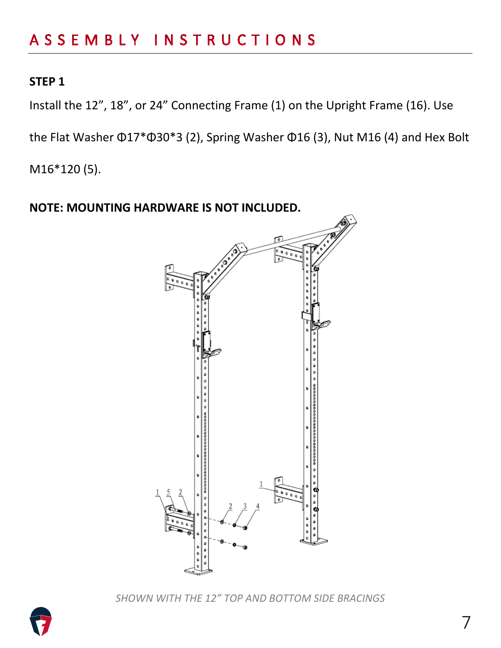Install the 12", 18", or 24" Connecting Frame (1) on the Upright Frame (16). Use

the Flat Washer Φ17\*Φ30\*3 (2), Spring Washer Φ16 (3), Nut M16 (4) and Hex Bolt

M16\*120 (5).



*SHOWN WITH THE 12" TOP AND BOTTOM SIDE BRACINGS*